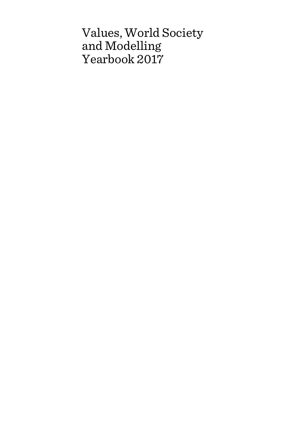# Values, World Society and Modelling Yearbook 2017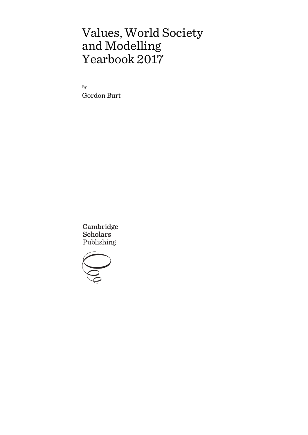# Values, World Society and Modelling Yearbook 2017

By Gordon Burt

Cambridge **Scholars** Publishing

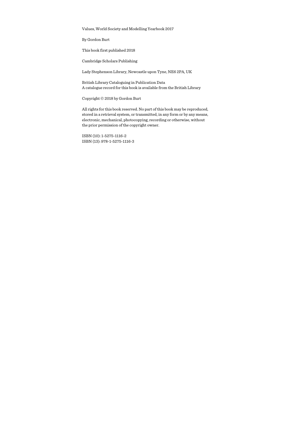Values, World Society and Modelling Yearbook 2017

By Gordon Burt

This book first published 2018

Cambridge Scholars Publishing

Lady Stephenson Library, Newcastle upon Tyne, NE6 2PA, UK

British Library Cataloguing in Publication Data A catalogue record for this book is available from the British Library

Copyright © 2018 by Gordon Burt

All rights for this book reserved. No part of this book may be reproduced, stored in a retrieval system, or transmitted, in any form or by any means, electronic, mechanical, photocopying, recording or otherwise, without the prior permission of the copyright owner.

ISBN (10): 1-5275-1116-2 ISBN (13): 978-1-5275-1116-3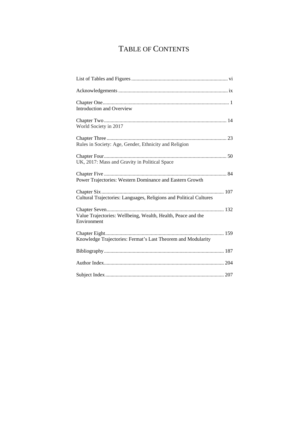# TABLE OF CONTENTS

| Introduction and Overview                                                   |
|-----------------------------------------------------------------------------|
| World Society in 2017                                                       |
| Rules in Society: Age, Gender, Ethnicity and Religion                       |
| UK, 2017: Mass and Gravity in Political Space                               |
| Power Trajectories: Western Dominance and Eastern Growth                    |
| Cultural Trajectories: Languages, Religions and Political Cultures          |
| Value Trajectories: Wellbeing, Wealth, Health, Peace and the<br>Environment |
| Knowledge Trajectories: Fermat's Last Theorem and Modularity                |
|                                                                             |
|                                                                             |
|                                                                             |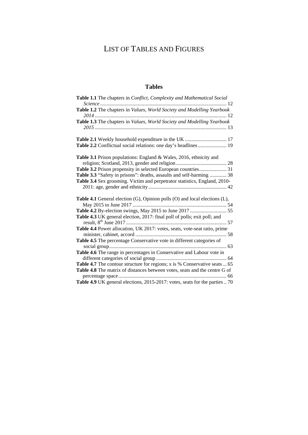# LIST OF TABLES AND FIGURES

### **Tables**

| Table 1.1 The chapters in <i>Conflict, Complexity and Mathematical Social</i>                                                                                                                                                                                                                   |
|-------------------------------------------------------------------------------------------------------------------------------------------------------------------------------------------------------------------------------------------------------------------------------------------------|
|                                                                                                                                                                                                                                                                                                 |
| Table 1.3 The chapters in Values, World Society and Modelling Yearbook                                                                                                                                                                                                                          |
| Table 2.2 Conflictual social relations: one day's headlines 19                                                                                                                                                                                                                                  |
| <b>Table 3.1</b> Prison populations: England & Wales, 2016, ethnicity and<br>Table 3.2 Prison propensity in selected European countries 31<br>Table 3.3 "Safety in prisons": deaths, assaults and self-harming  38<br>Table 3.4 Sex grooming. Victim and perpetrator statistics, England, 2010- |
| Table 4.1 General election (G), Opinion polls (O) and local elections (L),<br>Table 4.3 UK general election, 2017: final poll of polls; exit poll; and                                                                                                                                          |
| Table 4.4 Power allocation, UK 2017: votes, seats, vote-seat ratio, prime<br>Table 4.5 The percentage Conservative vote in different categories of                                                                                                                                              |
| Table 4.6 The range in percentages in Conservative and Labour vote in<br>Table 4.7 The contour structure for regions; x is % Conservative seats  65<br>Table 4.8 The matrix of distances between votes, seats and the centre G of                                                               |
| Table 4.9 UK general elections, 2015-2017: votes, seats for the parties  70                                                                                                                                                                                                                     |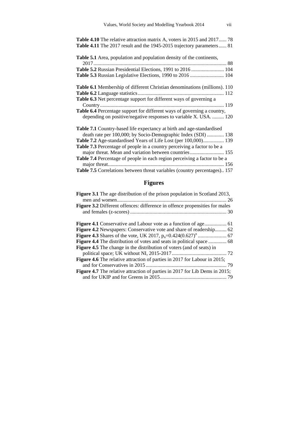| <b>Table 4.10</b> The relative attraction matrix A, voters in 2015 and 2017 78    |
|-----------------------------------------------------------------------------------|
| <b>Table 4.11</b> The 2017 result and the 1945-2015 trajectory parameters 81      |
| <b>Table 5.1</b> Area, population and population density of the continents,       |
|                                                                                   |
|                                                                                   |
| Table 5.3 Russian Legislative Elections, 1990 to 2016  104                        |
| Table 6.1 Membership of different Christian denominations (millions). 110         |
|                                                                                   |
| Table 6.3 Net percentage support for different ways of governing a                |
|                                                                                   |
| Table 6.4 Percentage support for different ways of governing a country,           |
| depending on positive/negative responses to variable X. USA.  120                 |
| Table 7.1 Country-based life expectancy at birth and age-standardised             |
| death rate per 100,000; by Socio-Demographic Index (SDI)  138                     |
| Table 7.2 Age-standardised Years of Life Lost (per 100,000) 139                   |
| Table 7.3 Percentage of people in a country perceiving a factor to be a           |
| major threat. Mean and variation between countries 155                            |
| Table 7.4 Percentage of people in each region perceiving a factor to be a         |
|                                                                                   |
| <b>Table 7.5</b> Correlations between threat variables (country percentages). 157 |

# **Figures**

| Figure 3.1 The age distribution of the prison population in Scotland 2013,         |
|------------------------------------------------------------------------------------|
|                                                                                    |
| <b>Figure 3.2</b> Different offences: difference in offence propensities for males |
|                                                                                    |
|                                                                                    |
| Figure 4.2 Newspapers: Conservative vote and share of readership 62                |
|                                                                                    |
|                                                                                    |
| <b>Figure 4.5</b> The change in the distribution of voters (and of seats) in       |
|                                                                                    |
| <b>Figure 4.6</b> The relative attraction of parties in 2017 for Labour in 2015;   |
|                                                                                    |
| <b>Figure 4.7</b> The relative attraction of parties in 2017 for Lib Dems in 2015; |
|                                                                                    |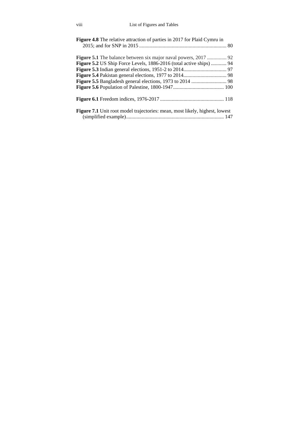| <b>Figure 4.8</b> The relative attraction of parties in 2017 for Plaid Cymru in    |  |
|------------------------------------------------------------------------------------|--|
|                                                                                    |  |
| Figure 5.2 US Ship Force Levels, 1886-2016 (total active ships)  94                |  |
|                                                                                    |  |
|                                                                                    |  |
|                                                                                    |  |
|                                                                                    |  |
|                                                                                    |  |
| <b>Figure 7.1</b> Unit root model trajectories: mean, most likely, highest, lowest |  |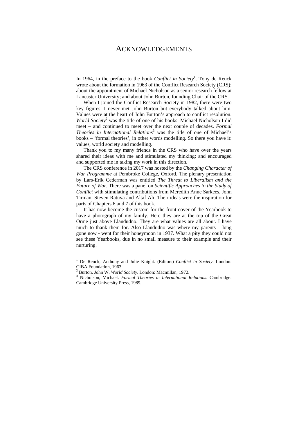#### ACKNOWLEDGEMENTS

In 1964, in the preface to the book *Conflict in Society*<sup> $l$ </sup>, Tony de Reuck wrote about the formation in 1963 of the Conflict Research Society (CRS): about the appointment of Michael Nicholson as a senior research fellow at Lancaster University; and about John Burton, founding Chair of the CRS.

When I joined the Conflict Research Society in 1982, there were two key figures. I never met John Burton but everybody talked about him. Values were at the heart of John Burton's approach to conflict resolution. World Society<sup>2</sup> was the title of one of his books. Michael Nicholson I did meet – and continued to meet over the next couple of decades. *Formal Theories in International Relations*<sup>3</sup> was the title of one of Michael's books – 'formal theories', in other words modelling. So there you have it: values, world society and modelling.

Thank you to my many friends in the CRS who have over the years shared their ideas with me and stimulated my thinking; and encouraged and supported me in taking my work in this direction.

The CRS conference in 2017 was hosted by the *Changing Character of War Programme* at Pembroke College, Oxford. The plenary presentation by Lars-Erik Cederman was entitled *The Threat to Liberalism and the Future of War*. There was a panel on *Scientific Approaches to the Study of Conflict* with stimulating contributions from Meredith Anne Sarkees, John Tirman, Steven Ratuva and Altaf Ali. Their ideas were the inspiration for parts of Chapters 6 and 7 of this book.

It has now become the custom for the front cover of the Yearbook to have a photograph of my family. Here they are at the top of the Great Orme just above Llandudno. They are what values are all about. I have much to thank them for. Also Llandudno was where my parents – long gone now - went for their honeymoon in 1937. What a pity they could not see these Yearbooks, due in no small measure to their example and their nurturing.

<sup>&</sup>lt;sup>1</sup> De Reuck, Anthony and Julie Knight. (Editors) *Conflict in Society*. London: CIBA Foundation, 1963.

<sup>&</sup>lt;sup>2</sup> Burton, John W. *World Society*. London: Macmillan, 1972.

<sup>&</sup>lt;sup>3</sup> Nicholson, Michael. *Formal Theories in International Relations*. Cambridge: Cambridge University Press, 1989.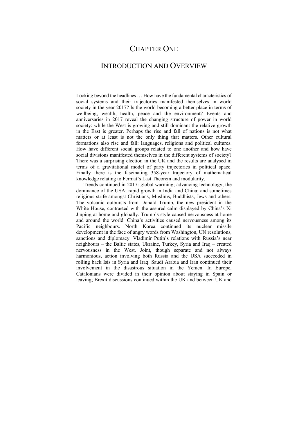# CHAPTER ONE

### INTRODUCTION AND OVERVIEW

Looking beyond the headlines … How have the fundamental characteristics of social systems and their trajectories manifested themselves in world society in the year 2017? Is the world becoming a better place in terms of wellbeing, wealth, health, peace and the environment? Events and anniversaries in 2017 reveal the changing structure of power in world society: while the West is growing and still dominant the relative growth in the East is greater. Perhaps the rise and fall of nations is not what matters or at least is not the only thing that matters. Other cultural formations also rise and fall: languages, religions and political cultures. How have different social groups related to one another and how have social divisions manifested themselves in the different systems of society? There was a surprising election in the UK and the results are analysed in terms of a gravitational model of party trajectories in political space. Finally there is the fascinating 358-year trajectory of mathematical knowledge relating to Fermat's Last Theorem and modularity.

Trends continued in 2017: global warming; advancing technology; the dominance of the USA; rapid growth in India and China; and sometimes religious strife amongst Christians, Muslims, Buddhists, Jews and others. The volcanic outbursts from Donald Trump, the new president in the White House, contrasted with the assured calm displayed by China's Xi Jinping at home and globally. Trump's style caused nervousness at home and around the world. China's activities caused nervousness among its Pacific neighbours. North Korea continued its nuclear missile development in the face of angry words from Washington, UN resolutions, sanctions and diplomacy. Vladimir Putin's relations with Russia's near neighbours – the Baltic states, Ukraine, Turkey, Syria and Iraq – created nervousness in the West. Joint, though separate and not always harmonious, action involving both Russia and the USA succeeded in rolling back Isis in Syria and Iraq. Saudi Arabia and Iran continued their involvement in the disastrous situation in the Yemen. In Europe, Catalonians were divided in their opinion about staying in Spain or leaving; Brexit discussions continued within the UK and between UK and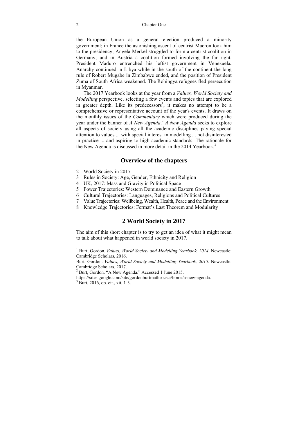#### 2 Chapter One

the European Union as a general election produced a minority government; in France the astonishing ascent of centrist Macron took him to the presidency; Angela Merkel struggled to form a centrist coalition in Germany; and in Austria a coalition formed involving the far right. President Maduro entrenched his leftist government in Venezuela**.** Anarchy continued in Libya while in the south of the continent the long rule of Robert Mugabe in Zimbabwe ended, and the position of President Zuma of South Africa weakened. The Rohingya refugees fled persecution in Myanmar.

The 2017 Yearbook looks at the year from a *Values, World Society and Modelling* perspective, selecting a few events and topics that are explored in greater depth. Like its predecessors<sup>1</sup>, it makes no attempt to be a comprehensive or representative account of the year's events. It draws on the monthly issues of the *Commentary* which were produced during the year under the banner of *A New Agenda*. <sup>2</sup> *A New Agenda* seeks to explore all aspects of society using all the academic disciplines paying special attention to values ... with special interest in modelling ... not disinterested in practice ... and aspiring to high academic standards. The rationale for the New Agenda is discussed in more detail in the 2014 Yearbook.<sup>3</sup>

#### **Overview of the chapters**

- 2 World Society in 2017
- 3 Rules in Society: Age, Gender, Ethnicity and Religion
- 4 UK, 2017: Mass and Gravity in Political Space
- 5 Power Trajectories: Western Dominance and Eastern Growth
- 6 Cultural Trajectories: Languages, Religions and Political Cultures
- 7 Value Trajectories: Wellbeing, Wealth, Health, Peace and the Environment
- 8 Knowledge Trajectories: Fermat's Last Theorem and Modularity

#### **2 World Society in 2017**

The aim of this short chapter is to try to get an idea of what it might mean to talk about what happened in world society in 2017.

 1 Burt, Gordon. *Values, World Society and Modelling Yearbook, 2014*. Newcastle: Cambridge Scholars, 2016.

Burt, Gordon. *Values, World Society and Modelling Yearbook, 2015*. Newcastle: Cambridge Scholars, 2017.

<sup>&</sup>lt;sup>2</sup> Burt, Gordon. "A New Agenda." Accessed 1 June 2015.

https://sites.google.com/site/gordonburtmathsocsci/home/a-new-agenda. 3

 $3 \text{ Burt}, 2016, \text{ op.} \text{ cit.}, \text{ xii}, 1-3.$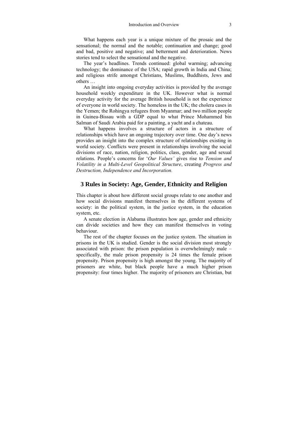What happens each year is a unique mixture of the prosaic and the sensational; the normal and the notable; continuation and change; good and bad, positive and negative; and betterment and deterioration. News stories tend to select the sensational and the negative.

The year's headlines. Trends continued: global warming; advancing technology; the dominance of the USA; rapid growth in India and China; and religious strife amongst Christians, Muslims, Buddhists, Jews and others …

An insight into ongoing everyday activities is provided by the average household weekly expenditure in the UK. However what is normal everyday activity for the average British household is not the experience of everyone in world society. The homeless in the UK; the cholera cases in the Yemen; the Rohingya refugees from Myanmar; and two million people in Guinea-Bissau with a GDP equal to what Prince Mohammed bin Salman of Saudi Arabia paid for a painting, a yacht and a chateau.

What happens involves a structure of actors in a structure of relationships which have an ongoing trajectory over time. One day's news provides an insight into the complex structure of relationships existing in world society. Conflicts were present in relationships involving the social divisions of race, nation, religion, politics, class, gender, age and sexual relations. People's concerns for '*Our Values'* gives rise to *Tension and Volatility in a Multi-Level Geopolitical Structure*, creating *Progress and Destruction, Independence and Incorporation.*

#### **3 Rules in Society: Age, Gender, Ethnicity and Religion**

This chapter is about how different social groups relate to one another and how social divisions manifest themselves in the different systems of society: in the political system, in the justice system, in the education system, etc.

A senate election in Alabama illustrates how age, gender and ethnicity can divide societies and how they can manifest themselves in voting behaviour.

The rest of the chapter focuses on the justice system. The situation in prisons in the UK is studied. Gender is the social division most strongly associated with prison: the prison population is overwhelmingly male – specifically, the male prison propensity is 24 times the female prison propensity. Prison propensity is high amongst the young. The majority of prisoners are white, but black people have a much higher prison propensity: four times higher. The majority of prisoners are Christian, but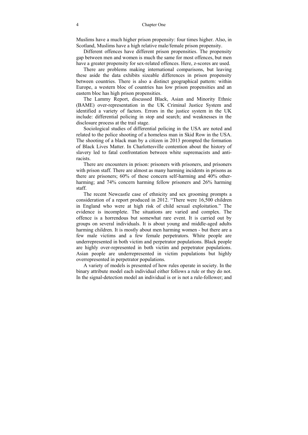Muslims have a much higher prison propensity: four times higher. Also, in Scotland, Muslims have a high relative male/female prison propensity.

Different offences have different prison propensities. The propensity gap between men and women is much the same for most offences, but men have a greater propensity for sex-related offences. Here, z-scores are used.

There are problems making international comparisons, but leaving these aside the data exhibits sizeable differences in prison propensity between countries. There is also a distinct geographical pattern: within Europe, a western bloc of countries has low prison propensities and an eastern bloc has high prison propensities.

The Lammy Report, discussed Black, Asian and Minority Ethnic (BAME) over-representation in the UK Criminal Justice System and identified a variety of factors. Errors in the justice system in the UK include: differential policing in stop and search; and weaknesses in the disclosure process at the trail stage.

Sociological studies of differential policing in the USA are noted and related to the police shooting of a homeless man in Skid Row in the USA. The shooting of a black man by a citizen in 2013 prompted the formation of Black Lives Matter. In Charlottesville contention about the history of slavery led to fatal confrontation between white supremacists and antiracists.

There are encounters in prison: prisoners with prisoners, and prisoners with prison staff. There are almost as many harming incidents in prisons as there are prisoners; 60% of these concern self-harming and 40% otherharming; and 74% concern harming fellow prisoners and 26% harming staff.

The recent Newcastle case of ethnicity and sex grooming prompts a consideration of a report produced in 2012. "There were 16,500 children in England who were at high risk of child sexual exploitation." The evidence is incomplete. The situations are varied and complex. The offence is a horrendous but somewhat rare event. It is carried out by groups on several individuals. It is about young and middle-aged adults harming children. It is mostly about men harming women - but there are a few male victims and a few female perpetrators. White people are underrepresented in both victim and perpetrator populations. Black people are highly over-represented in both victim and perpetrator populations. Asian people are underrepresented in victim populations but highly overrepresented in perpetrator populations.

A variety of models is presented of how rules operate in society. In the binary attribute model each individual either follows a rule or they do not. In the signal-detection model an individual is or is not a rule-follower; and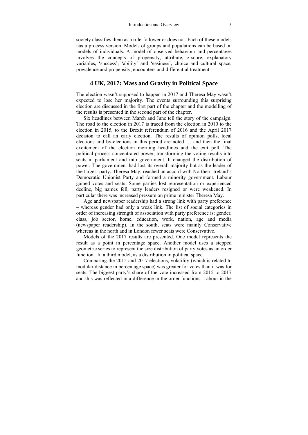society classifies them as a rule-follower or does not. Each of these models has a process version. Models of groups and populations can be based on models of individuals. A model of observed behaviour and percentages involves the concepts of propensity, attribute, z-score, explanatory variables, 'success', 'ability' and 'easiness', choice and cultural space, prevalence and propensity, encounters and differential treatment.

#### **4 UK, 2017: Mass and Gravity in Political Space**

The election wasn't supposed to happen in 2017 and Theresa May wasn't expected to lose her majority. The events surrounding this surprising election are discussed in the first part of the chapter and the modelling of the results is presented in the second part of the chapter.

Six headlines between March and June tell the story of the campaign. The road to the election in 2017 is traced from the election in 2010 to the election in 2015, to the Brexit referendum of 2016 and the April 2017 decision to call an early election. The results of opinion polls, local elections and by-elections in this period are noted … and then the final excitement of the election morning headlines and the exit poll. The political process concentrated power, transforming the voting results into seats in parliament and into government. It changed the distribution of power. The government had lost its overall majority but as the leader of the largest party, Theresa May, reached an accord with Northern Ireland's Democratic Unionist Party and formed a minority government. Labour gained votes and seats. Some parties lost representation or experienced decline, big names fell, party leaders resigned or were weakened. In particular there was increased pressure on prime minister Theresa May.

Age and newspaper readership had a strong link with party preference – whereas gender had only a weak link. The list of social categories in order of increasing strength of association with party preference is: gender, class, job sector, home, education, work, nation, age and media (newspaper readership). In the south, seats were mainly Conservative whereas in the north and in London fewer seats were Conservative.

Models of the 2017 results are presented. One model represents the result as a point in percentage space. Another model uses a stepped geometric series to represent the size distribution of party votes as an order function. In a third model, as a distribution in political space.

Comparing the 2015 and 2017 elections, volatility (which is related to modular distance in percentage space) was greater for votes than it was for seats. The biggest party's share of the vote increased from 2015 to 2017 and this was reflected in a difference in the order functions. Labour in the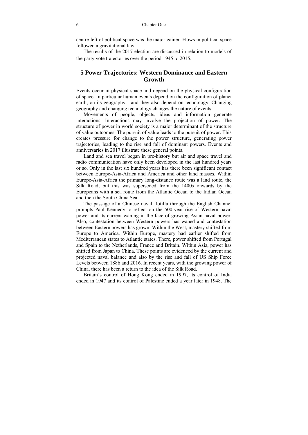centre-left of political space was the major gainer. Flows in political space followed a gravitational law.

The results of the 2017 election are discussed in relation to models of the party vote trajectories over the period 1945 to 2015.

#### **5 Power Trajectories: Western Dominance and Eastern Growth**

Events occur in physical space and depend on the physical configuration of space. In particular human events depend on the configuration of planet earth, on its geography - and they also depend on technology. Changing geography and changing technology changes the nature of events.

Movements of people, objects, ideas and information generate interactions. Interactions may involve the projection of power. The structure of power in world society is a major determinant of the structure of value outcomes. The pursuit of value leads to the pursuit of power. This creates pressure for change to the power structure, generating power trajectories, leading to the rise and fall of dominant powers. Events and anniversaries in 2017 illustrate these general points.

Land and sea travel began in pre-history but air and space travel and radio communication have only been developed in the last hundred years or so. Only in the last six hundred years has there been significant contact between Europe-Asia-Africa and America and other land masses. Within Europe-Asia-Africa the primary long-distance route was a land route, the Silk Road, but this was superseded from the 1400s onwards by the Europeans with a sea route from the Atlantic Ocean to the Indian Ocean and then the South China Sea.

The passage of a Chinese naval flotilla through the English Channel prompts Paul Kennedy to reflect on the 500-year rise of Western naval power and its current waning in the face of growing Asian naval power. Also, contestation between Western powers has waned and contestation between Eastern powers has grown. Within the West, mastery shifted from Europe to America. Within Europe, mastery had earlier shifted from Mediterranean states to Atlantic states. There, power shifted from Portugal and Spain to the Netherlands, France and Britain. Within Asia, power has shifted from Japan to China. These points are evidenced by the current and projected naval balance and also by the rise and fall of US Ship Force Levels between 1886 and 2016. In recent years, with the growing power of China, there has been a return to the idea of the Silk Road.

Britain's control of Hong Kong ended in 1997, its control of India ended in 1947 and its control of Palestine ended a year later in 1948. The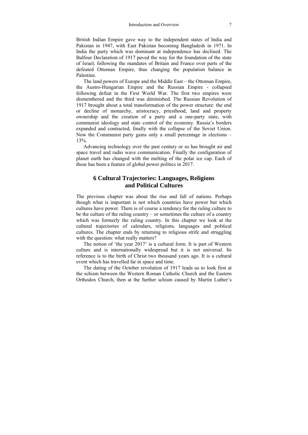British Indian Empire gave way to the independent states of India and Pakistan in 1947, with East Pakistan becoming Bangladesh in 1971. In India the party which was dominant at independence has declined. The Balfour Declaration of 1917 paved the way for the foundation of the state of Israel, following the mandates of Britain and France over parts of the defeated Ottoman Empire, thus changing the population balance in Palestine.

The land powers of Europe and the Middle East – the Ottoman Empire, the Austro-Hungarian Empire and the Russian Empire - collapsed following defeat in the First World War. The first two empires were dismembered and the third was diminished. The Russian Revolution of 1917 brought about a total transformation of the power structure: the end or decline of monarchy, aristocracy, priesthood, land and property ownership and the creation of a party and a one-party state, with communist ideology and state control of the economy. Russia's borders expanded and contracted, finally with the collapse of the Soviet Union. Now the Communist party gains only a small percentage in elections – 13%.

Advancing technology over the past century or so has brought air and space travel and radio wave communication. Finally the configuration of planet earth has changed with the melting of the polar ice cap. Each of these has been a feature of global power politics in 2017.

#### **6 Cultural Trajectories: Languages, Religions and Political Cultures**

The previous chapter was about the rise and fall of nations. Perhaps though what is important is not which countries have power but which cultures have power. There is of course a tendency for the ruling culture to be the culture of the ruling country – or sometimes the culture of a country which was formerly the ruling country. In this chapter we look at the cultural trajectories of calendars, religions, languages and political cultures. The chapter ends by returning to religious strife and struggling with the question: what really matters?

The notion of 'the year 2017' is a cultural form. It is part of Western culture and is internationally widespread but it is not universal. Its reference is to the birth of Christ two thousand years ago. It is a cultural event which has travelled far in space and time.

The dating of the October revolution of 1917 leads us to look first at the schism between the Western Roman Catholic Church and the Eastern Orthodox Church, then at the further schism caused by Martin Luther's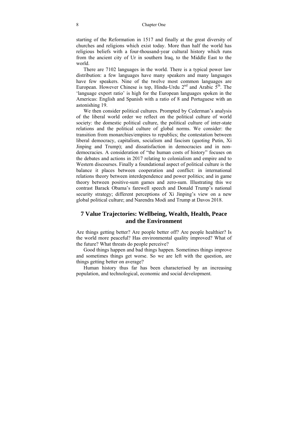starting of the Reformation in 1517 and finally at the great diversity of churches and religions which exist today. More than half the world has religious beliefs with a four-thousand-year cultural history which runs from the ancient city of Ur in southern Iraq, to the Middle East to the world.

There are 7102 languages in the world. There is a typical power law distribution: a few languages have many speakers and many languages have few speakers. Nine of the twelve most common languages are European. However Chinese is top, Hindu-Urdu  $2<sup>nd</sup>$  and Arabic  $5<sup>th</sup>$ . The 'language export ratio' is high for the European languages spoken in the Americas: English and Spanish with a ratio of 8 and Portuguese with an astonishing 19.

We then consider political cultures. Prompted by Cederman's analysis of the liberal world order we reflect on the political culture of world society: the domestic political culture, the political culture of inter-state relations and the political culture of global norms. We consider: the transition from monarchies/empires to republics; the contestation between liberal democracy, capitalism, socialism and fascism (quoting Putin, Xi Jinping and Trump); and dissatisfaction in democracies and in nondemocracies. A consideration of "the human costs of history" focuses on the debates and actions in 2017 relating to colonialism and empire and to Western discourses. Finally a foundational aspect of political culture is the balance it places between cooperation and conflict: in international relations theory between interdependence and power politics; and in game theory between positive-sum games and zero-sum. Illustrating this we contrast Barack Obama's farewell speech and Donald Trump's national security strategy; different perceptions of Xi Jinping's view on a new global political culture; and Narendra Modi and Trump at Davos 2018.

#### **7 Value Trajectories: Wellbeing, Wealth, Health, Peace and the Environment**

Are things getting better? Are people better off? Are people healthier? Is the world more peaceful? Has environmental quality improved? What of the future? What threats do people perceive?

Good things happen and bad things happen. Sometimes things improve and sometimes things get worse. So we are left with the question, are things getting better on average?

Human history thus far has been characterised by an increasing population, and technological, economic and social development.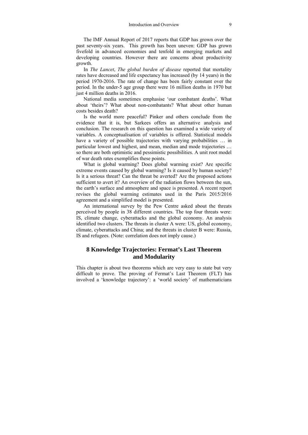The IMF Annual Report of 2017 reports that GDP has grown over the past seventy-six years. This growth has been uneven: GDP has grown fivefold in advanced economies and tenfold in emerging markets and developing countries. However there are concerns about productivity growth.

In *The Lancet*, *The global burden of disease* reported that mortality rates have decreased and life expectancy has increased (by 14 years) in the period 1970-2016. The rate of change has been fairly constant over the period. In the under-5 age group there were 16 million deaths in 1970 but just 4 million deaths in 2016.

National media sometimes emphasise 'our combatant deaths'. What about 'theirs'? What about non-combatants? What about other human costs besides death?

Is the world more peaceful? Pinker and others conclude from the evidence that it is, but Sarkees offers an alternative analysis and conclusion. The research on this question has examined a wide variety of variables. A conceptualisation of variables is offered. Statistical models have a variety of possible trajectories with varying probabilities ... in particular lowest and highest, and mean, median and mode trajectories … so there are both optimistic and pessimistic possibilities. A unit root model of war death rates exemplifies these points.

What is global warming? Does global warming exist? Are specific extreme events caused by global warming? Is it caused by human society? Is it a serious threat? Can the threat be averted? Are the proposed actions sufficient to avert it? An overview of the radiation flows between the sun, the earth's surface and atmosphere and space is presented. A recent report revises the global warming estimates used in the Paris 2015/2016 agreement and a simplified model is presented.

An international survey by the Pew Centre asked about the threats perceived by people in 38 different countries. The top four threats were: IS, climate change, cyberattacks and the global economy. An analysis identified two clusters. The threats in cluster A were: US, global economy, climate, cyberattacks and China; and the threats in cluster B were: Russia, IS and refugees. (Note: correlation does not imply cause.)

#### **8 Knowledge Trajectories: Fermat's Last Theorem and Modularity**

This chapter is about two theorems which are very easy to state but very difficult to prove. The proving of Fermat's Last Theorem (FLT) has involved a 'knowledge trajectory': a 'world society' of mathematicians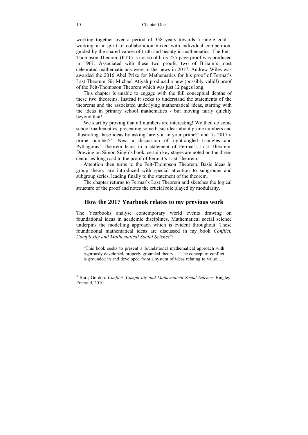working together over a period of 358 years towards a single goal – working in a spirit of collaboration mixed with individual competition, guided by the shared values of truth and beauty in mathematics. The Feit-Thompson Theorem (FTT) is not so old: its 255-page proof was produced in 1961. Associated with these two proofs, two of Britain's most celebrated mathematicians were in the news in 2017. Andrew Wiles was awarded the 2016 Abel Prize for Mathematics for his proof of Fermat's Last Theorem. Sir Michael Atiyah produced a new (possibly valid!) proof of the Feit-Thompson Theorem which was just 12 pages long.

This chapter is unable to engage with the full conceptual depths of these two theorems. Instead it seeks to understand the statements of the theorems and the associated underlying mathematical ideas, starting with the ideas in primary school mathematics - but moving fairly quickly beyond that!

We start by proving that all numbers are interesting! We then do some school mathematics, presenting some basic ideas about prime numbers and illustrating these ideas by asking 'are you in your prime?' and 'is 2017 a prime number?'. Next a discussion of right-angled triangles and Pythagoras' Theorem leads to a statement of Fermat's Last Theorem. Drawing on Simon Singh's book, certain key stages are noted on the threecenturies-long road to the proof of Fermat's Last Theorem.

Attention then turns to the Feit-Thompson Theorem. Basic ideas in group theory are introduced with special attention to subgroups and subgroup series, leading finally to the statement of the theorem.

The chapter returns to Fermat's Last Theorem and sketches the logical structure of the proof and notes the crucial role played by modularity.

#### **How the 2017 Yearbook relates to my previous work**

The Yearbooks analyse contemporary world events drawing on foundational ideas in academic disciplines. Mathematical social science underpins the modelling approach which is evident throughout. These foundational mathematical ideas are discussed in my book *Conflict,*  Complexity and Mathematical Social Science<sup>4</sup>:

"This book seeks to present a foundational mathematical approach with rigorously developed, properly grounded theory … The concept of conflict is grounded in and developed from a system of ideas relating to value. …

<sup>4</sup> Burt, Gordon. *Conflict, Complexity and Mathematical Social Science*. Bingley: Emerald, 2010.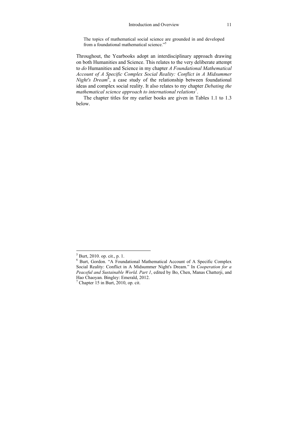The topics of mathematical social science are grounded in and developed from a foundational mathematical science."5

Throughout, the Yearbooks adopt an interdisciplinary approach drawing on both Humanities and Science. This relates to the very deliberate attempt to *do* Humanities and Science in my chapter *A Foundational Mathematical Account of A Specific Complex Social Reality: Conflict in A Midsummer*  Night's Dream<sup>6</sup>, a case study of the relationship between foundational ideas and complex social reality. It also relates to my chapter *Debating the*  mathematical science approach to international relations<sup>7</sup>.

The chapter titles for my earlier books are given in Tables 1.1 to 1.3 below.

 5 Burt, 2010. op. cit., p. 1.

<sup>6</sup> Burt, Gordon. "A Foundational Mathematical Account of A Specific Complex Social Reality: Conflict in A Midsummer Night's Dream." In *Cooperation for a Peaceful and Sustainable World. Part 1*, edited by Bo, Chen, Manas Chatterji, and Hao Chaoyan. Bingley: Emerald, 2012.

 $<sup>7</sup>$  Chapter 15 in Burt, 2010, op. cit.</sup>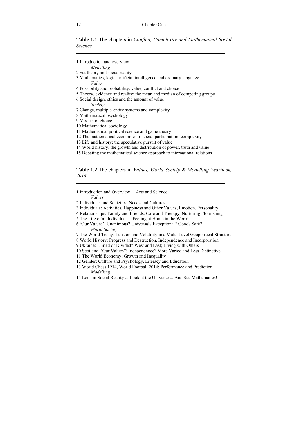**Table 1.1** The chapters in *Conflict, Complexity and Mathematical Social Science*

1 Introduction and overview *Modelling*  2 Set theory and social reality 3 Mathematics, logic, artificial intelligence and ordinary language *Value*  4 Possibility and probability: value, conflict and choice 5 Theory, evidence and reality: the mean and median of competing groups 6 Social design, ethics and the amount of value *Society*  7 Change, multiple-entity systems and complexity 8 Mathematical psychology 9 Models of choice 10 Mathematical sociology 11 Mathematical political science and game theory 12 The mathematical economics of social participation: complexity 13 Life and history: the speculative pursuit of value 14 World history: the growth and distribution of power, truth and value 15 Debating the mathematical science approach to international relations  $\overline{a}$ 

#### **Table 1.2** The chapters in *Values, World Society & Modelling Yearbook, 2014*

1 Introduction and Overview ... Arts and Science

#### *Values*

 $\overline{a}$ 

 $\overline{a}$ 

- 2 Individuals and Societies, Needs and Cultures
- 3 Individuals: Activities, Happiness and Other Values, Emotion, Personality
- 4 Relationships: Family and Friends, Care and Therapy, Nurturing Flourishing
- 5 The Life of an Individual ... Feeling at Home in the World
- 6 'Our Values': Unanimous? Universal? Exceptional? Good? Safe? *World Society*
- 7 The World Today: Tension and Volatility in a Multi-Level Geopolitical Structure
- 8 World History: Progress and Destruction, Independence and Incorporation
- 9 Ukraine: United or Divided? West and East; Living with Others
- 10 Scotland: 'Our Values'? Independence? More Varied and Less Distinctive
- 11 The World Economy: Growth and Inequality
- 12 Gender: Culture and Psychology, Literacy and Education
- 13 World Chess 1914, World Football 2014: Performance and Prediction *Modelling*
- 14 Look at Social Reality ... Look at the Universe ... And See Mathematics!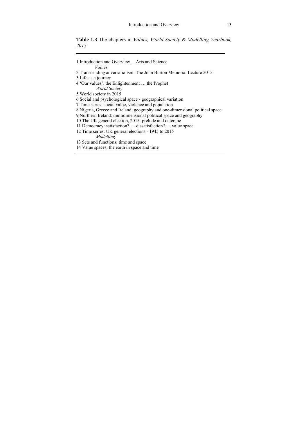**Table 1.3** The chapters in *Values, World Society & Modelling Yearbook, 2015*

| 1 Introduction and Overview  Arts and Science<br>Values                      |
|------------------------------------------------------------------------------|
| 2 Transcending adversarialism: The John Burton Memorial Lecture 2015         |
| 3 Life as a journey                                                          |
| 4 'Our values': the Enlightenment  the Prophet                               |
| World Society                                                                |
| 5 World society in 2015                                                      |
| 6 Social and psychological space - geographical variation                    |
| 7 Time series: social value, violence and population                         |
| 8 Nigeria, Greece and Ireland: geography and one-dimensional political space |
| 9 Northern Ireland: multidimensional political space and geography           |
| 10 The UK general election, 2015: prelude and outcome                        |
| 11 Democracy: satisfaction?  dissatisfaction?  value space                   |
| 12 Time series: UK general elections - 1945 to 2015                          |
| Modelling                                                                    |
| 13 Sets and functions; time and space                                        |
| 14 Value spaces; the earth in space and time                                 |
|                                                                              |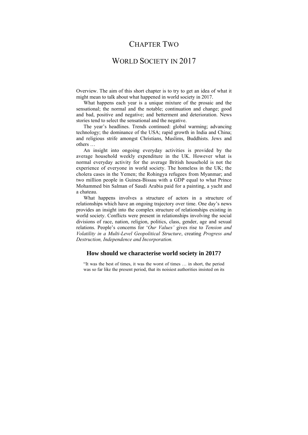## CHAPTER TWO

## WORLD SOCIETY IN 2017

Overview. The aim of this short chapter is to try to get an idea of what it might mean to talk about what happened in world society in 2017.

What happens each year is a unique mixture of the prosaic and the sensational; the normal and the notable; continuation and change; good and bad, positive and negative; and betterment and deterioration. News stories tend to select the sensational and the negative.

The year's headlines. Trends continued: global warming; advancing technology; the dominance of the USA; rapid growth in India and China; and religious strife amongst Christians, Muslims, Buddhists. Jews and others …

An insight into ongoing everyday activities is provided by the average household weekly expenditure in the UK. However what is normal everyday activity for the average British household is not the experience of everyone in world society. The homeless in the UK; the cholera cases in the Yemen; the Rohingya refugees from Myanmar; and two million people in Guinea-Bissau with a GDP equal to what Prince Mohammed bin Salman of Saudi Arabia paid for a painting, a yacht and a chateau.

What happens involves a structure of actors in a structure of relationships which have an ongoing trajectory over time. One day's news provides an insight into the complex structure of relationships existing in world society. Conflicts were present in relationships involving the social divisions of race, nation, religion, politics, class, gender, age and sexual relations. People's concerns for '*Our Values'* gives rise to *Tension and Volatility in a Multi-Level Geopolitical Structure*, creating *Progress and Destruction, Independence and Incorporation.*

#### **How should we characterise world society in 2017?**

"It was the best of times, it was the worst of times … in short, the period was so far like the present period, that its noisiest authorities insisted on its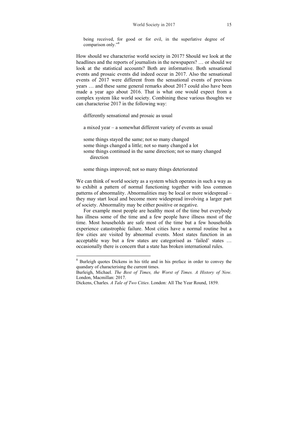being received, for good or for evil, in the superlative degree of comparison only."<sup>8</sup>

How should we characterise world society in 2017? Should we look at the headlines and the reports of journalists in the newspapers? … or should we look at the statistical accounts? Both are informative. Both sensational events and prosaic events did indeed occur in 2017. Also the sensational events of 2017 were different from the sensational events of previous years … and these same general remarks about 2017 could also have been made a year ago about 2016. That is what one would expect from a complex system like world society. Combining these various thoughts we can characterise 2017 in the following way:

differently sensational and prosaic as usual

a mixed year – a somewhat different variety of events as usual

some things stayed the same; not so many changed some things changed a little; not so many changed a lot some things continued in the same direction; not so many changed direction

some things improved; not so many things deteriorated

We can think of world society as a system which operates in such a way as to exhibit a pattern of normal functioning together with less common patterns of abnormality. Abnormalities may be local or more widespread – they may start local and become more widespread involving a larger part of society. Abnormality may be either positive or negative.

For example most people are healthy most of the time but everybody has illness some of the time and a few people have illness most of the time. Most households are safe most of the time but a few households experience catastrophic failure. Most cities have a normal routine but a few cities are visited by abnormal events. Most states function in an acceptable way but a few states are categorised as 'failed' states … occasionally there is concern that a state has broken international rules.

<sup>&</sup>lt;sup>8</sup> Burleigh quotes Dickens in his title and in his preface in order to convey the quandary of characterising the current times.

Burleigh, Michael. *The Best of Times, the Worst of Times. A History of Now.*  London, Macmillan: 2017.

Dickens, Charles. *A Tale of Two Cities*. London: All The Year Round, 1859.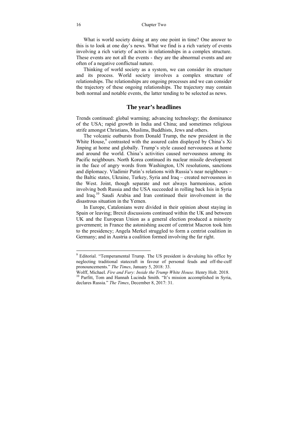What is world society doing at any one point in time? One answer to this is to look at one day's news. What we find is a rich variety of events involving a rich variety of actors in relationships in a complex structure. These events are not all the events - they are the abnormal events and are often of a negative conflictual nature.

Thinking of world society as a system, we can consider its structure and its process. World society involves a complex structure of relationships. The relationships are ongoing processes and we can consider the trajectory of these ongoing relationships. The trajectory may contain both normal and notable events, the latter tending to be selected as news.

#### **The year's headlines**

Trends continued: global warming; advancing technology; the dominance of the USA; rapid growth in India and China; and sometimes religious strife amongst Christians, Muslims, Buddhists, Jews and others.

The volcanic outbursts from Donald Trump, the new president in the White House,<sup>9</sup> contrasted with the assured calm displayed by China's Xi Jinping at home and globally. Trump's style caused nervousness at home and around the world. China's activities caused nervousness among its Pacific neighbours. North Korea continued its nuclear missile development in the face of angry words from Washington, UN resolutions, sanctions and diplomacy. Vladimir Putin's relations with Russia's near neighbours – the Baltic states, Ukraine, Turkey, Syria and Iraq – created nervousness in the West. Joint, though separate and not always harmonious, action involving both Russia and the USA succeeded in rolling back Isis in Syria and Iraq.10 Saudi Arabia and Iran continued their involvement in the disastrous situation in the Yemen.

In Europe, Catalonians were divided in their opinion about staying in Spain or leaving; Brexit discussions continued within the UK and between UK and the European Union as a general election produced a minority government; in France the astonishing ascent of centrist Macron took him to the presidency; Angela Merkel struggled to form a centrist coalition in Germany; and in Austria a coalition formed involving the far right.

<sup>&</sup>lt;sup>9</sup> Editorial. "Temperamental Trump. The US president is devaluing his office by neglecting traditional statecraft in favour of personal feuds and off-the-cuff pronouncements." *The Times*, January 5, 2018: 33.

Wolff, Michael. *Fire and Fury: Inside the Trump White House*. Henry Holt. 2018. 10 Parfitt, Tom and Hannah Lucinda Smith. "It's mission accomplished in Syria, declares Russia." *The Times*, December 8, 2017: 31.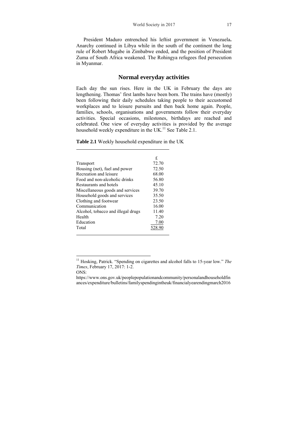President Maduro entrenched his leftist government in Venezuela**.** Anarchy continued in Libya while in the south of the continent the long rule of Robert Mugabe in Zimbabwe ended, and the position of President Zuma of South Africa weakened. The Rohingya refugees fled persecution in Myanmar.

#### **Normal everyday activities**

Each day the sun rises. Here in the UK in February the days are lengthening. Thomas' first lambs have been born. The trains have (mostly) been following their daily schedules taking people to their accustomed workplaces and to leisure pursuits and then back home again. People, families, schools, organisations and governments follow their everyday activities. Special occasions, milestones, birthdays are reached and celebrated. One view of everyday activities is provided by the average household weekly expenditure in the UK.<sup>11</sup> See Table 2.1.

|  |  |  | Table 2.1 Weekly household expenditure in the UK |  |
|--|--|--|--------------------------------------------------|--|
|--|--|--|--------------------------------------------------|--|

|                                    | £.     |
|------------------------------------|--------|
| Transport                          | 72.70  |
| Housing (net), fuel and power      | 72.50  |
| Recreation and leisure             | 68.00  |
| Food and non-alcoholic drinks      | 56.80  |
| Restaurants and hotels             | 45.10  |
| Miscellaneous goods and services   | 39.70  |
| Household goods and services       | 35.50  |
| Clothing and footwear              | 23.50  |
| Communication                      | 16.00  |
| Alcohol, tobacco and illegal drugs | 11.40  |
| Health                             | 7.20   |
| Education                          | 7.00   |
| Total                              | 528.90 |
|                                    |        |

 $\overline{a}$ 

<sup>&</sup>lt;sup>11</sup> Hosking, Patrick. "Spending on cigarettes and alcohol falls to 15-year low." The *Times*, February 17, 2017: 1-2.

ONS:

https://www.ons.gov.uk/peoplepopulationandcommunity/personalandhouseholdfin ances/expenditure/bulletins/familyspendingintheuk/financialyearendingmarch2016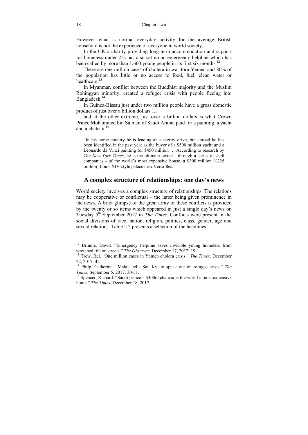However what is normal everyday activity for the average British household is not the experience of everyone in world society.

In the UK a charity providing long-term accommodation and support for homeless under-25s has also set up an emergency helpline which has been called by more than 1,600 young people in its first six months.<sup>12</sup>

There are one million cases of cholera in war-torn Yemen and 80% of the population has little or no access to food, fuel, clean water or healthcare<sup>13</sup>

In Myanmar, conflict between the Buddhist majority and the Muslim Rohingyan minority, created a refugee crisis with people fleeing into Bangladesh.14

In Guinea-Bissau just under two million people have a gross domestic product of just over a billion dollars …

… and at the other extreme, just over a billion dollars is what Crown Prince Mohammed bin Salman of Saudi Arabia paid for a painting, a yacht and a chateau. $15$ 

"In his home country he is leading an austerity drive, but abroad he has been identified in the past year as the buyer of a \$500 million yacht and a Leonardo da Vinci painting for \$450 million … According to research by *The New York Times*, he is the ultimate owner - through a series of shell companies - of the world's most expensive house, a \$300 million (£225 million) Louis XIV-style palace near Versailles."

#### **A complex structure of relationships: one day's news**

World society involves a complex structure of relationships. The relations may be cooperative or conflictual – the latter being given prominence in the news. A brief glimpse of the great array of these conflicts is provided by the twenty or so items which appeared in just a single day's news on Tuesday 5th September 2017 in *The Times*. Conflicts were present in the social divisions of race, nation, religion, politics, class, gender, age and sexual relations. Table 2.2 presents a selection of the headlines.

<sup>&</sup>lt;sup>12</sup> Brindle, David. "Emergency helpline saves invisible young homeless from wretched life on streets." *The Observer*, December 17, 2017: 19.

<sup>&</sup>lt;sup>13</sup> Trew, Bel. "One million cases in Yemen cholera crisis." *The Times*. December 22, 2017: 42

<sup>14</sup> Philp, Catherine. "Malala tells Suu Kyi to speak out on refugee crisis." *The Times*, September 5, 2017: 30-31.<br><sup>15</sup> Spencer, Richard. "Saudi prince's \$300m chateau is the world's most expensive

home." *The Times*, December 18, 2017.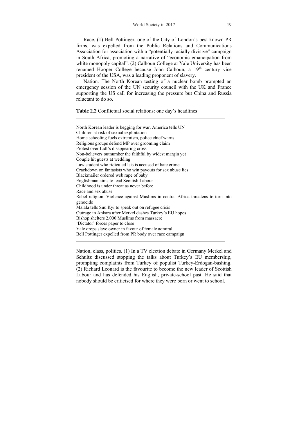Race. (1) Bell Pottinger, one of the City of London's best-known PR firms, was expelled from the Public Relations and Communications Association for association with a "potentially racially divisive" campaign in South Africa, promoting a narrative of "economic emancipation from white monopoly capital". (2) Calhoun College at Yale University has been renamed Hooper College because John Calhoun, a 19<sup>th</sup> century vice president of the USA, was a leading proponent of slavery.

Nation. The North Korean testing of a nuclear bomb prompted an emergency session of the UN security council with the UK and France supporting the US call for increasing the pressure but China and Russia reluctant to do so.

**Table 2.2** Conflictual social relations: one day's headlines

 $\overline{a}$ 

North Korean leader is begging for war, America tells UN Children at risk of sexual exploitation Home schooling fuels extremism, police chief warns Religious groups defend MP over grooming claim Protest over Lidl's disappearing cross Non-believers outnumber the faithful by widest margin yet Couple hit guests at wedding Law student who ridiculed Isis is accused of hate crime Crackdown on fantasists who win payouts for sex abuse lies Blackmailer ordered web rape of baby Englishman aims to lead Scottish Labour Childhood is under threat as never before Race and sex abuse Rebel religion. Violence against Muslims in central Africa threatens to turn into genocide Malala tells Suu Kyi to speak out on refugee crisis Outrage in Ankara after Merkel dashes Turkey's EU hopes Bishop shelters 2,000 Muslims from massacre 'Dictator' forces paper to close Yale drops slave owner in favour of female admiral Bell Pottinger expelled from PR body over race campaign  $\overline{a}$ 

Nation, class, politics. (1) In a TV election debate in Germany Merkel and Schultz discussed stopping the talks about Turkey's EU membership, prompting complaints from Turkey of populist Turkey-Erdogan-bashing. (2) Richard Leonard is the favourite to become the new leader of Scottish Labour and has defended his English, private-school past. He said that nobody should be criticised for where they were born or went to school.